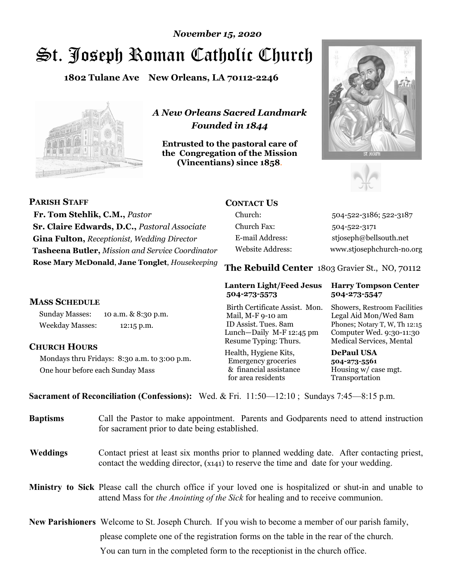# St. Joseph Roman Catholic Church *November 15, 2020*

**1802 Tulane Ave New Orleans, LA 70112-2246**



*A New Orleans Sacred Landmark Founded in 1844* 

**Entrusted to the pastoral care of the Congregation of the Mission (Vincentians) since 1858**.





| <b>PARISH STAFF</b>                                 | <b>CONTACT US</b>                                                                                                                                                                                                                                                                                                                        |             |
|-----------------------------------------------------|------------------------------------------------------------------------------------------------------------------------------------------------------------------------------------------------------------------------------------------------------------------------------------------------------------------------------------------|-------------|
| Fr. Tom Stehlik, C.M., Pastor                       | Church:                                                                                                                                                                                                                                                                                                                                  | $504 - 522$ |
| <b>Sr. Claire Edwards, D.C., Pastoral Associate</b> | Church Fax:                                                                                                                                                                                                                                                                                                                              | 504-52:     |
| <b>Gina Fulton, Receptionist, Wedding Director</b>  | E-mail Address:                                                                                                                                                                                                                                                                                                                          | stjosepl    |
| Tasheena Butler, Mission and Service Coordinator    | Website Address:                                                                                                                                                                                                                                                                                                                         | www.stj     |
| Rose Mary McDonald, Jane Tonglet, Housekeeping      | $\mathbf{B}$ $\mathbf{I}$ $\mathbf{B}$ $\mathbf{I}$ $\mathbf{A}$ $\mathbf{I}$ $\mathbf{A}$ $\mathbf{I}$ $\mathbf{A}$ $\mathbf{I}$ $\mathbf{A}$ $\mathbf{I}$ $\mathbf{A}$ $\mathbf{I}$ $\mathbf{A}$ $\mathbf{I}$ $\mathbf{A}$ $\mathbf{I}$ $\mathbf{A}$ $\mathbf{I}$ $\mathbf{A}$ $\mathbf{I}$ $\mathbf{A}$ $\mathbf{I}$ $\mathbf{$<br>m1 |             |

# **MASS SCHEDULE**

Sunday Masses: 10 a.m. & 8:30 p.m. Weekday Masses: 12:15 p.m.

#### **CHURCH HOURS**

Mondays thru Fridays: 8:30 a.m. to 3:00 p.m. One hour before each Sunday Mass

2-3186; 522-3187 2-3171 h@bellsouth.net osephchurch-no.org

**The Rebuild Center** 1803 Gravier St., NO, 70112

#### **Lantern Light/Feed Jesus Harry Tompson Center 504-273-5573 504-273-5547**

 Mail, M-F 9-10 am Legal Aid Mon/Wed 8am ID Assist. Tues. 8am Phones; Notary T, W, Th 12:15 Lunch—Daily M-F 12:45 pm Computer Wed. 9:30-11:30 Resume Typing: Thurs. Medical Services, Mental

Health, Hygiene Kits, **DePaul USA**  Emergency groceries **504-273-5561** & financial assistance Housing w/ case mgt.<br>for area residents Transportation for area residents

Birth Certificate Assist. Mon. Showers, Restroom Facilities

**Sacrament of Reconciliation (Confessions):** Wed. & Fri. 11:50—12:10 ; Sundays 7:45—8:15 p.m.

| <b>Baptisms</b> | Call the Pastor to make appointment. Parents and Godparents need to attend instruction<br>for sacrament prior to date being established.                                                            |
|-----------------|-----------------------------------------------------------------------------------------------------------------------------------------------------------------------------------------------------|
| <b>Weddings</b> | Contact priest at least six months prior to planned wedding date. After contacting priest,<br>contact the wedding director, $(x_{141})$ to reserve the time and date for your wedding.              |
|                 | Ministry to Sick Please call the church office if your loved one is hospitalized or shut-in and unable to<br>attend Mass for <i>the Anointing of the Sick</i> for healing and to receive communion. |
|                 | <b>New Parishioners</b> Welcome to St. Joseph Church. If you wish to become a member of our parish family,<br>please complete one of the registration forms on the table in the rear of the church. |

You can turn in the completed form to the receptionist in the church office.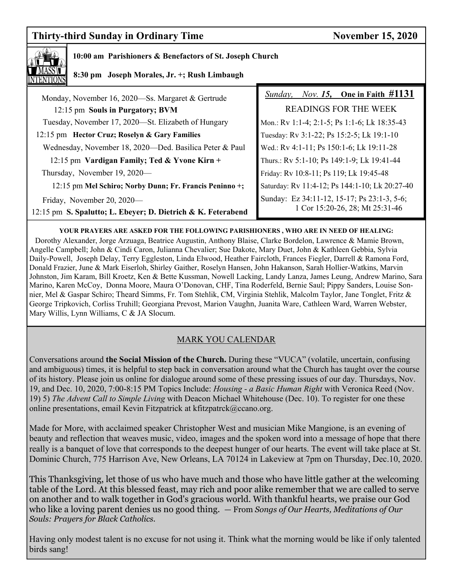# **Thirty-third Sunday in Ordinary Time November 15, 2020**



## **10:00 am Parishioners & Benefactors of St. Joseph Church**

 **8:30 pm Joseph Morales, Jr. +; Rush Limbaugh** 

| Monday, November 16, 2020—Ss. Margaret & Gertrude            | <i>Nov.</i> 15, One in Faith $\#1131$<br>Sunday, |  |
|--------------------------------------------------------------|--------------------------------------------------|--|
| 12:15 pm Souls in Purgatory; BVM                             | <b>READINGS FOR THE WEEK</b>                     |  |
| Tuesday, November 17, 2020-St. Elizabeth of Hungary          | Mon.: Rv 1:1-4; 2:1-5; Ps 1:1-6; Lk 18:35-43     |  |
| 12:15 pm Hector Cruz; Roselyn & Gary Families                | Tuesday: Rv 3:1-22; Ps 15:2-5; Lk 19:1-10        |  |
| Wednesday, November 18, 2020—Ded. Basilica Peter & Paul      | Wed.: Rv 4:1-11; Ps 150:1-6; Lk 19:11-28         |  |
| 12:15 pm Vardigan Family; Ted & Yvone Kirn +                 | Thurs.: Rv 5:1-10; Ps 149:1-9; Lk 19:41-44       |  |
| Thursday, November 19, 2020—                                 | Friday: Rv 10:8-11; Ps 119; Lk 19:45-48          |  |
| 12:15 pm Mel Schiro; Norby Dunn; Fr. Francis Peninno +;      | Saturday: Rv 11:4-12; Ps 144:1-10; Lk 20:27-40   |  |
| Friday, November 20, 2020-                                   | Sunday: Ez 34:11-12, 15-17; Ps 23:1-3, 5-6;      |  |
| 12:15 pm S. Spalutto; L. Ebeyer; D. Dietrich & K. Feterabend | 1 Cor 15:20-26, 28; Mt 25:31-46                  |  |

**YOUR PRAYERS ARE ASKED FOR THE FOLLOWING PARISHIONERS , WHO ARE IN NEED OF HEALING:**  Dorothy Alexander, Jorge Arzuaga, Beatrice Augustin, Anthony Blaise, Clarke Bordelon, Lawrence & Mamie Brown, Angelle Campbell; John & Cindi Caron, Julianna Chevalier; Sue Dakote, Mary Duet, John & Kathleen Gebbia, Sylvia Daily-Powell, Joseph Delay, Terry Eggleston, Linda Elwood, Heather Faircloth, Frances Fiegler, Darrell & Ramona Ford, Donald Frazier, June & Mark Eiserloh, Shirley Gaither, Roselyn Hansen, John Hakanson, Sarah Hollier-Watkins, Marvin Johnston, Jim Karam, Bill Kroetz, Ken & Bette Kussman, Nowell Lacking, Landy Lanza, James Leung, Andrew Marino, Sara Marino, Karen McCoy, Donna Moore, Maura O'Donovan, CHF, Tina Roderfeld, Bernie Saul; Pippy Sanders, Louise Sonnier, Mel & Gaspar Schiro; Theard Simms, Fr. Tom Stehlik, CM, Virginia Stehlik, Malcolm Taylor, Jane Tonglet, Fritz & George Tripkovich, Corliss Truhill; Georgiana Prevost, Marion Vaughn, Juanita Ware, Cathleen Ward, Warren Webster, Mary Willis, Lynn Williams, C & JA Slocum.

# MARK YOU CALENDAR

Conversations around **the Social Mission of the Church.** During these "VUCA" (volatile, uncertain, confusing and ambiguous) times, it is helpful to step back in conversation around what the Church has taught over the course of its history. Please join us online for dialogue around some of these pressing issues of our day. Thursdays, Nov. 19, and Dec. 10, 2020, 7:00-8:15 PM Topics Include: *Housing - a Basic Human Right* with Veronica Reed (Nov. 19) 5) *The Advent Call to Simple Living* with Deacon Michael Whitehouse (Dec. 10). To register for one these online presentations, email Kevin Fitzpatrick at kfitzpatrck@ccano.org.

Made for More, with acclaimed speaker Christopher West and musician Mike Mangione, is an evening of beauty and reflection that weaves music, video, images and the spoken word into a message of hope that there really is a banquet of love that corresponds to the deepest hunger of our hearts. The event will take place at St. Dominic Church, 775 Harrison Ave, New Orleans, LA 70124 in Lakeview at 7pm on Thursday, Dec.10, 2020.

This Thanksgiving, let those of us who have much and those who have little gather at the welcoming table of the Lord. At this blessed feast, may rich and poor alike remember that we are called to serve on another and to walk together in God's gracious world. With thankful hearts, we praise our God who like a loving parent denies us no good thing. *—* From *Songs of Our Hearts, Meditations of Our Souls: Prayers for Black Catholics.* 

Having only modest talent is no excuse for not using it. Think what the morning would be like if only talented birds sang!